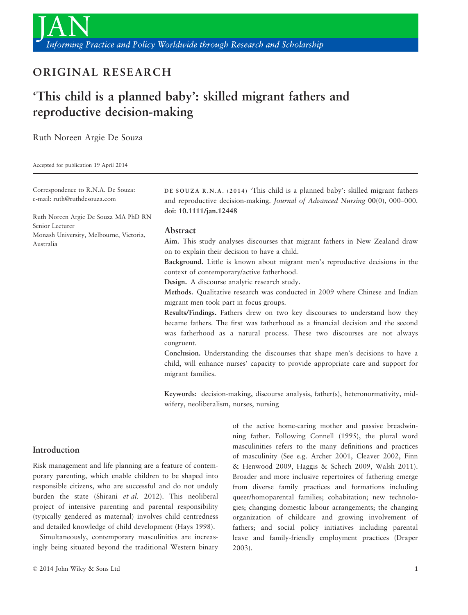# ORIGINAL RESEARCH

# 'This child is a planned baby': skilled migrant fathers and reproductive decision-making

Ruth Noreen Argie De Souza

Accepted for publication 19 April 2014

Correspondence to R.N.A. De Souza: e-mail: ruth@ruthdesouza.com

Ruth Noreen Argie De Souza MA PhD RN Senior Lecturer Monash University, Melbourne, Victoria, Australia

DE SOUZA R.N.A. (2014) 'This child is a planned baby': skilled migrant fathers and reproductive decision-making. Journal of Advanced Nursing 00(0), 000–000. doi: 10.1111/jan.12448

#### Abstract

Aim. This study analyses discourses that migrant fathers in New Zealand draw on to explain their decision to have a child.

Background. Little is known about migrant men's reproductive decisions in the context of contemporary/active fatherhood.

Design. A discourse analytic research study.

Methods. Qualitative research was conducted in 2009 where Chinese and Indian migrant men took part in focus groups.

Results/Findings. Fathers drew on two key discourses to understand how they became fathers. The first was fatherhood as a financial decision and the second was fatherhood as a natural process. These two discourses are not always congruent.

Conclusion. Understanding the discourses that shape men's decisions to have a child, will enhance nurses' capacity to provide appropriate care and support for migrant families.

Keywords: decision-making, discourse analysis, father(s), heteronormativity, midwifery, neoliberalism, nurses, nursing

# Introduction

Risk management and life planning are a feature of contemporary parenting, which enable children to be shaped into responsible citizens, who are successful and do not unduly burden the state (Shirani et al. 2012). This neoliberal project of intensive parenting and parental responsibility (typically gendered as maternal) involves child centredness and detailed knowledge of child development (Hays 1998).

Simultaneously, contemporary masculinities are increasingly being situated beyond the traditional Western binary of the active home-caring mother and passive breadwinning father. Following Connell (1995), the plural word masculinities refers to the many definitions and practices of masculinity (See e.g. Archer 2001, Cleaver 2002, Finn & Henwood 2009, Haggis & Schech 2009, Walsh 2011). Broader and more inclusive repertoires of fathering emerge from diverse family practices and formations including queer/homoparental families; cohabitation; new technologies; changing domestic labour arrangements; the changing organization of childcare and growing involvement of fathers; and social policy initiatives including parental leave and family-friendly employment practices (Draper 2003).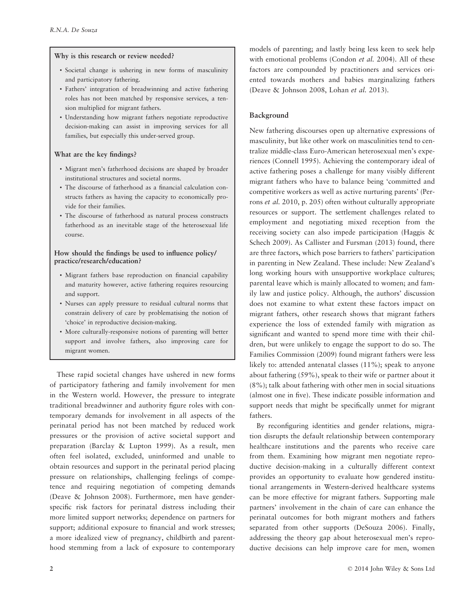#### Why is this research or review needed?

- Societal change is ushering in new forms of masculinity and participatory fathering.
- Fathers' integration of breadwinning and active fathering roles has not been matched by responsive services, a tension multiplied for migrant fathers.
- Understanding how migrant fathers negotiate reproductive decision-making can assist in improving services for all families, but especially this under-served group.

#### What are the key findings?

- Migrant men's fatherhood decisions are shaped by broader institutional structures and societal norms.
- The discourse of fatherhood as a financial calculation constructs fathers as having the capacity to economically provide for their families.
- The discourse of fatherhood as natural process constructs fatherhood as an inevitable stage of the heterosexual life course.

#### How should the findings be used to influence policy/ practice/research/education?

- Migrant fathers base reproduction on financial capability and maturity however, active fathering requires resourcing and support.
- Nurses can apply pressure to residual cultural norms that constrain delivery of care by problematising the notion of 'choice' in reproductive decision-making.
- More culturally-responsive notions of parenting will better support and involve fathers, also improving care for migrant women.

These rapid societal changes have ushered in new forms of participatory fathering and family involvement for men in the Western world. However, the pressure to integrate traditional breadwinner and authority figure roles with contemporary demands for involvement in all aspects of the perinatal period has not been matched by reduced work pressures or the provision of active societal support and preparation (Barclay & Lupton 1999). As a result, men often feel isolated, excluded, uninformed and unable to obtain resources and support in the perinatal period placing pressure on relationships, challenging feelings of competence and requiring negotiation of competing demands (Deave & Johnson 2008). Furthermore, men have genderspecific risk factors for perinatal distress including their more limited support networks; dependence on partners for support; additional exposure to financial and work stresses; a more idealized view of pregnancy, childbirth and parenthood stemming from a lack of exposure to contemporary

models of parenting; and lastly being less keen to seek help with emotional problems (Condon et al. 2004). All of these factors are compounded by practitioners and services oriented towards mothers and babies marginalizing fathers (Deave & Johnson 2008, Lohan et al. 2013).

#### Background

New fathering discourses open up alternative expressions of masculinity, but like other work on masculinities tend to centralize middle-class Euro-American heterosexual men's experiences (Connell 1995). Achieving the contemporary ideal of active fathering poses a challenge for many visibly different migrant fathers who have to balance being 'committed and competitive workers as well as active nurturing parents' (Perrons et al. 2010, p. 205) often without culturally appropriate resources or support. The settlement challenges related to employment and negotiating mixed reception from the receiving society can also impede participation (Haggis & Schech 2009). As Callister and Fursman (2013) found, there are three factors, which pose barriers to fathers' participation in parenting in New Zealand. These include: New Zealand's long working hours with unsupportive workplace cultures; parental leave which is mainly allocated to women; and family law and justice policy. Although, the authors' discussion does not examine to what extent these factors impact on migrant fathers, other research shows that migrant fathers experience the loss of extended family with migration as significant and wanted to spend more time with their children, but were unlikely to engage the support to do so. The Families Commission (2009) found migrant fathers were less likely to: attended antenatal classes (11%); speak to anyone about fathering (59%), speak to their wife or partner about it (8%); talk about fathering with other men in social situations (almost one in five). These indicate possible information and support needs that might be specifically unmet for migrant fathers.

By reconfiguring identities and gender relations, migration disrupts the default relationship between contemporary healthcare institutions and the parents who receive care from them. Examining how migrant men negotiate reproductive decision-making in a culturally different context provides an opportunity to evaluate how gendered institutional arrangements in Western-derived healthcare systems can be more effective for migrant fathers. Supporting male partners' involvement in the chain of care can enhance the perinatal outcomes for both migrant mothers and fathers separated from other supports (DeSouza 2006). Finally, addressing the theory gap about heterosexual men's reproductive decisions can help improve care for men, women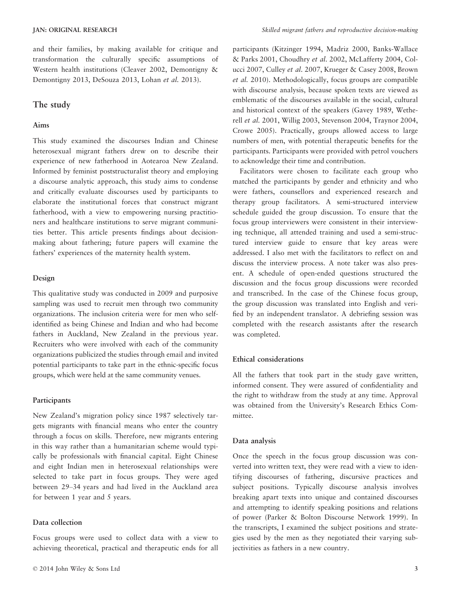and their families, by making available for critique and transformation the culturally specific assumptions of Western health institutions (Cleaver 2002, Demontigny & Demontigny 2013, DeSouza 2013, Lohan et al. 2013).

#### The study

### Aims

This study examined the discourses Indian and Chinese heterosexual migrant fathers drew on to describe their experience of new fatherhood in Aotearoa New Zealand. Informed by feminist poststructuralist theory and employing a discourse analytic approach, this study aims to condense and critically evaluate discourses used by participants to elaborate the institutional forces that construct migrant fatherhood, with a view to empowering nursing practitioners and healthcare institutions to serve migrant communities better. This article presents findings about decisionmaking about fathering; future papers will examine the fathers' experiences of the maternity health system.

#### Design

This qualitative study was conducted in 2009 and purposive sampling was used to recruit men through two community organizations. The inclusion criteria were for men who selfidentified as being Chinese and Indian and who had become fathers in Auckland, New Zealand in the previous year. Recruiters who were involved with each of the community organizations publicized the studies through email and invited potential participants to take part in the ethnic-specific focus groups, which were held at the same community venues.

#### Participants

New Zealand's migration policy since 1987 selectively targets migrants with financial means who enter the country through a focus on skills. Therefore, new migrants entering in this way rather than a humanitarian scheme would typically be professionals with financial capital. Eight Chinese and eight Indian men in heterosexual relationships were selected to take part in focus groups. They were aged between 29–34 years and had lived in the Auckland area for between 1 year and 5 years.

#### Data collection

Focus groups were used to collect data with a view to achieving theoretical, practical and therapeutic ends for all participants (Kitzinger 1994, Madriz 2000, Banks-Wallace & Parks 2001, Choudhry et al. 2002, McLafferty 2004, Colucci 2007, Culley et al. 2007, Krueger & Casey 2008, Brown et al. 2010). Methodologically, focus groups are compatible with discourse analysis, because spoken texts are viewed as emblematic of the discourses available in the social, cultural and historical context of the speakers (Gavey 1989, Wetherell et al. 2001, Willig 2003, Stevenson 2004, Traynor 2004, Crowe 2005). Practically, groups allowed access to large numbers of men, with potential therapeutic benefits for the participants. Participants were provided with petrol vouchers to acknowledge their time and contribution.

Facilitators were chosen to facilitate each group who matched the participants by gender and ethnicity and who were fathers, counsellors and experienced research and therapy group facilitators. A semi-structured interview schedule guided the group discussion. To ensure that the focus group interviewers were consistent in their interviewing technique, all attended training and used a semi-structured interview guide to ensure that key areas were addressed. I also met with the facilitators to reflect on and discuss the interview process. A note taker was also present. A schedule of open-ended questions structured the discussion and the focus group discussions were recorded and transcribed. In the case of the Chinese focus group, the group discussion was translated into English and verified by an independent translator. A debriefing session was completed with the research assistants after the research was completed.

#### Ethical considerations

All the fathers that took part in the study gave written, informed consent. They were assured of confidentiality and the right to withdraw from the study at any time. Approval was obtained from the University's Research Ethics Committee.

#### Data analysis

Once the speech in the focus group discussion was converted into written text, they were read with a view to identifying discourses of fathering, discursive practices and subject positions. Typically discourse analysis involves breaking apart texts into unique and contained discourses and attempting to identify speaking positions and relations of power (Parker & Bolton Discourse Network 1999). In the transcripts, I examined the subject positions and strategies used by the men as they negotiated their varying subjectivities as fathers in a new country.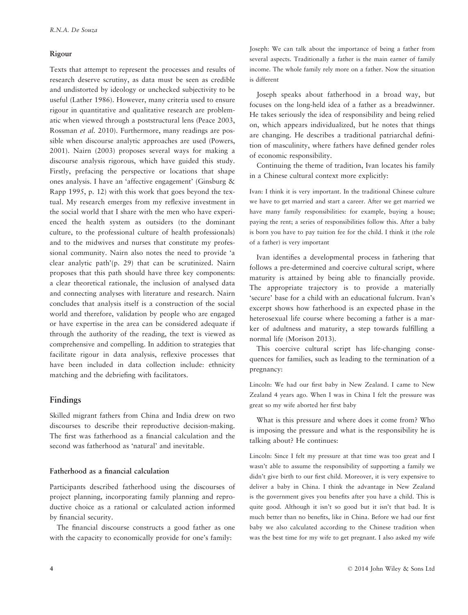#### Rigour

Texts that attempt to represent the processes and results of research deserve scrutiny, as data must be seen as credible and undistorted by ideology or unchecked subjectivity to be useful (Lather 1986). However, many criteria used to ensure rigour in quantitative and qualitative research are problematic when viewed through a poststructural lens (Peace 2003, Rossman et al. 2010). Furthermore, many readings are possible when discourse analytic approaches are used (Powers, 2001). Nairn (2003) proposes several ways for making a discourse analysis rigorous, which have guided this study. Firstly, prefacing the perspective or locations that shape ones analysis. I have an 'affective engagement' (Ginsburg & Rapp 1995, p. 12) with this work that goes beyond the textual. My research emerges from my reflexive investment in the social world that I share with the men who have experienced the health system as outsiders (to the dominant culture, to the professional culture of health professionals) and to the midwives and nurses that constitute my professional community. Nairn also notes the need to provide 'a clear analytic path'(p. 29) that can be scrutinized. Nairn proposes that this path should have three key components: a clear theoretical rationale, the inclusion of analysed data and connecting analyses with literature and research. Nairn concludes that analysis itself is a construction of the social world and therefore, validation by people who are engaged or have expertise in the area can be considered adequate if through the authority of the reading, the text is viewed as comprehensive and compelling. In addition to strategies that facilitate rigour in data analysis, reflexive processes that have been included in data collection include: ethnicity matching and the debriefing with facilitators.

# Findings

Skilled migrant fathers from China and India drew on two discourses to describe their reproductive decision-making. The first was fatherhood as a financial calculation and the second was fatherhood as 'natural' and inevitable.

#### Fatherhood as a financial calculation

Participants described fatherhood using the discourses of project planning, incorporating family planning and reproductive choice as a rational or calculated action informed by financial security.

The financial discourse constructs a good father as one with the capacity to economically provide for one's family:

Joseph: We can talk about the importance of being a father from several aspects. Traditionally a father is the main earner of family income. The whole family rely more on a father. Now the situation is different

Joseph speaks about fatherhood in a broad way, but focuses on the long-held idea of a father as a breadwinner. He takes seriously the idea of responsibility and being relied on, which appears individualized, but he notes that things are changing. He describes a traditional patriarchal definition of masculinity, where fathers have defined gender roles of economic responsibility.

Continuing the theme of tradition, Ivan locates his family in a Chinese cultural context more explicitly:

Ivan: I think it is very important. In the traditional Chinese culture we have to get married and start a career. After we get married we have many family responsibilities: for example, buying a house; paying the rent; a series of responsibilities follow this. After a baby is born you have to pay tuition fee for the child. I think it (the role of a father) is very important

Ivan identifies a developmental process in fathering that follows a pre-determined and coercive cultural script, where maturity is attained by being able to financially provide. The appropriate trajectory is to provide a materially 'secure' base for a child with an educational fulcrum. Ivan's excerpt shows how fatherhood is an expected phase in the heterosexual life course where becoming a father is a marker of adultness and maturity, a step towards fulfilling a normal life (Morison 2013).

This coercive cultural script has life-changing consequences for families, such as leading to the termination of a pregnancy:

Lincoln: We had our first baby in New Zealand. I came to New Zealand 4 years ago. When I was in China I felt the pressure was great so my wife aborted her first baby

What is this pressure and where does it come from? Who is imposing the pressure and what is the responsibility he is talking about? He continues:

Lincoln: Since I felt my pressure at that time was too great and I wasn't able to assume the responsibility of supporting a family we didn't give birth to our first child. Moreover, it is very expensive to deliver a baby in China. I think the advantage in New Zealand is the government gives you benefits after you have a child. This is quite good. Although it isn't so good but it isn't that bad. It is much better than no benefits, like in China. Before we had our first baby we also calculated according to the Chinese tradition when was the best time for my wife to get pregnant. I also asked my wife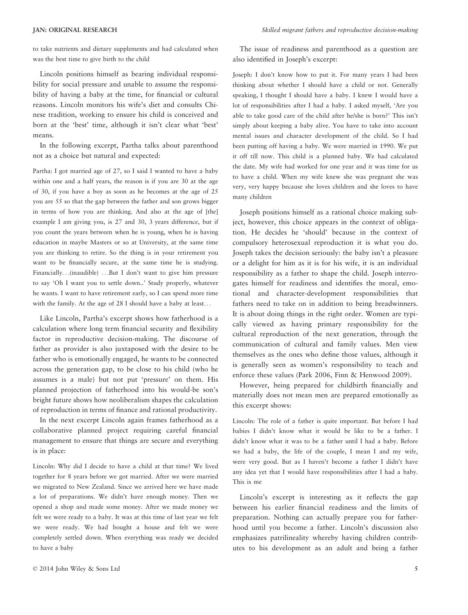to take nutrients and dietary supplements and had calculated when was the best time to give birth to the child

Lincoln positions himself as bearing individual responsibility for social pressure and unable to assume the responsibility of having a baby at the time, for financial or cultural reasons. Lincoln monitors his wife's diet and consults Chinese tradition, working to ensure his child is conceived and born at the 'best' time, although it isn't clear what 'best' means.

In the following excerpt, Partha talks about parenthood not as a choice but natural and expected:

Partha: I got married age of 27, so I said I wanted to have a baby within one and a half years, the reason is if you are 30 at the age of 30, if you have a boy as soon as he becomes at the age of 25 you are 55 so that the gap between the father and son grows bigger in terms of how you are thinking. And also at the age of [the] example I am giving you, is 27 and 30, 3 years difference, but if you count the years between when he is young, when he is having education in maybe Masters or so at University, at the same time you are thinking to retire. So the thing is in your retirement you want to be financially secure, at the same time he is studying. Financially...(inaudible) ...But I don't want to give him pressure to say 'Oh I want you to settle down..' Study properly, whatever he wants. I want to have retirement early, so I can spend more time with the family. At the age of 28 I should have a baby at least...

Like Lincoln, Partha's excerpt shows how fatherhood is a calculation where long term financial security and flexibility factor in reproductive decision-making. The discourse of father as provider is also juxtaposed with the desire to be father who is emotionally engaged, he wants to be connected across the generation gap, to be close to his child (who he assumes is a male) but not put 'pressure' on them. His planned projection of fatherhood into his would-be son's bright future shows how neoliberalism shapes the calculation of reproduction in terms of finance and rational productivity.

In the next excerpt Lincoln again frames fatherhood as a collaborative planned project requiring careful financial management to ensure that things are secure and everything is in place:

Lincoln: Why did I decide to have a child at that time? We lived together for 8 years before we got married. After we were married we migrated to New Zealand. Since we arrived here we have made a lot of preparations. We didn't have enough money. Then we opened a shop and made some money. After we made money we felt we were ready to a baby. It was at this time of last year we felt we were ready. We had bought a house and felt we were completely settled down. When everything was ready we decided to have a baby

The issue of readiness and parenthood as a question are also identified in Joseph's excerpt:

Joseph: I don't know how to put it. For many years I had been thinking about whether I should have a child or not. Generally speaking, I thought I should have a baby. I knew I would have a lot of responsibilities after I had a baby. I asked myself, 'Are you able to take good care of the child after he/she is born?' This isn't simply about keeping a baby alive. You have to take into account mental issues and character development of the child. So I had been putting off having a baby. We were married in 1990. We put it off till now. This child is a planned baby. We had calculated the date. My wife had worked for one year and it was time for us to have a child. When my wife knew she was pregnant she was very, very happy because she loves children and she loves to have many children

Joseph positions himself as a rational choice making subject, however, this choice appears in the context of obligation. He decides he 'should' because in the context of compulsory heterosexual reproduction it is what you do. Joseph takes the decision seriously: the baby isn't a pleasure or a delight for him as it is for his wife, it is an individual responsibility as a father to shape the child. Joseph interrogates himself for readiness and identifies the moral, emotional and character-development responsibilities that fathers need to take on in addition to being breadwinners. It is about doing things in the right order. Women are typically viewed as having primary responsibility for the cultural reproduction of the next generation, through the communication of cultural and family values. Men view themselves as the ones who define those values, although it is generally seen as women's responsibility to teach and enforce these values (Park 2006, Finn & Henwood 2009).

However, being prepared for childbirth financially and materially does not mean men are prepared emotionally as this excerpt shows:

Lincoln: The role of a father is quite important. But before I had babies I didn't know what it would be like to be a father. I didn't know what it was to be a father until I had a baby. Before we had a baby, the life of the couple, I mean I and my wife, were very good. But as I haven't become a father I didn't have any idea yet that I would have responsibilities after I had a baby. This is me

Lincoln's excerpt is interesting as it reflects the gap between his earlier financial readiness and the limits of preparation. Nothing can actually prepare you for fatherhood until you become a father. Lincoln's discussion also emphasizes patrilineality whereby having children contributes to his development as an adult and being a father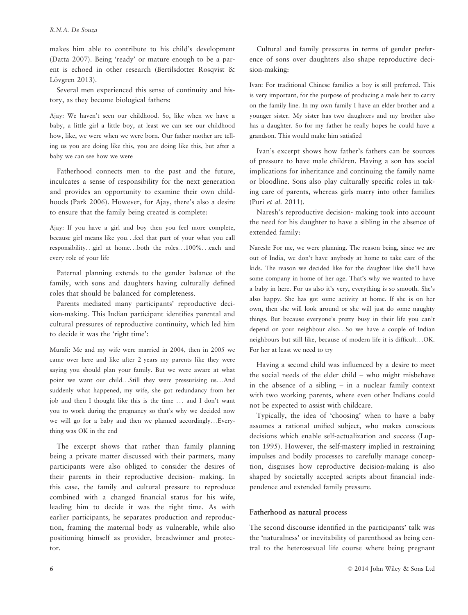#### R.N.A. De Souza

makes him able to contribute to his child's development (Datta 2007). Being 'ready' or mature enough to be a parent is echoed in other research (Bertilsdotter Rosqvist & Lövgren 2013).

Several men experienced this sense of continuity and history, as they become biological fathers:

Ajay: We haven't seen our childhood. So, like when we have a baby, a little girl a little boy, at least we can see our childhood how, like, we were when we were born. Our father mother are telling us you are doing like this, you are doing like this, but after a baby we can see how we were

Fatherhood connects men to the past and the future, inculcates a sense of responsibility for the next generation and provides an opportunity to examine their own childhoods (Park 2006). However, for Ajay, there's also a desire to ensure that the family being created is complete:

Ajay: If you have a girl and boy then you feel more complete, because girl means like you...feel that part of your what you call responsibility...girl at home...both the roles...100%...each and every role of your life

Paternal planning extends to the gender balance of the family, with sons and daughters having culturally defined roles that should be balanced for completeness.

Parents mediated many participants' reproductive decision-making. This Indian participant identifies parental and cultural pressures of reproductive continuity, which led him to decide it was the 'right time':

Murali: Me and my wife were married in 2004, then in 2005 we came over here and like after 2 years my parents like they were saying you should plan your family. But we were aware at what point we want our child...Still they were pressurising us...And suddenly what happened, my wife, she got redundancy from her job and then I thought like this is the time ... and I don't want you to work during the pregnancy so that's why we decided now we will go for a baby and then we planned accordingly...Everything was OK in the end

The excerpt shows that rather than family planning being a private matter discussed with their partners, many participants were also obliged to consider the desires of their parents in their reproductive decision- making. In this case, the family and cultural pressure to reproduce combined with a changed financial status for his wife, leading him to decide it was the right time. As with earlier participants, he separates production and reproduction, framing the maternal body as vulnerable, while also positioning himself as provider, breadwinner and protector.

Cultural and family pressures in terms of gender preference of sons over daughters also shape reproductive decision-making:

Ivan: For traditional Chinese families a boy is still preferred. This is very important, for the purpose of producing a male heir to carry on the family line. In my own family I have an elder brother and a younger sister. My sister has two daughters and my brother also has a daughter. So for my father he really hopes he could have a grandson. This would make him satisfied

Ivan's excerpt shows how father's fathers can be sources of pressure to have male children. Having a son has social implications for inheritance and continuing the family name or bloodline. Sons also play culturally specific roles in taking care of parents, whereas girls marry into other families (Puri et al. 2011).

Naresh's reproductive decision- making took into account the need for his daughter to have a sibling in the absence of extended family:

Naresh: For me, we were planning. The reason being, since we are out of India, we don't have anybody at home to take care of the kids. The reason we decided like for the daughter like she'll have some company in home of her age. That's why we wanted to have a baby in here. For us also it's very, everything is so smooth. She's also happy. She has got some activity at home. If she is on her own, then she will look around or she will just do some naughty things. But because everyone's pretty busy in their life you can't depend on your neighbour also...So we have a couple of Indian neighbours but still like, because of modern life it is difficult...OK. For her at least we need to try

Having a second child was influenced by a desire to meet the social needs of the elder child – who might misbehave in the absence of a sibling – in a nuclear family context with two working parents, where even other Indians could not be expected to assist with childcare.

Typically, the idea of 'choosing' when to have a baby assumes a rational unified subject, who makes conscious decisions which enable self-actualization and success (Lupton 1995). However, the self-mastery implied in restraining impulses and bodily processes to carefully manage conception, disguises how reproductive decision-making is also shaped by societally accepted scripts about financial independence and extended family pressure.

### Fatherhood as natural process

The second discourse identified in the participants' talk was the 'naturalness' or inevitability of parenthood as being central to the heterosexual life course where being pregnant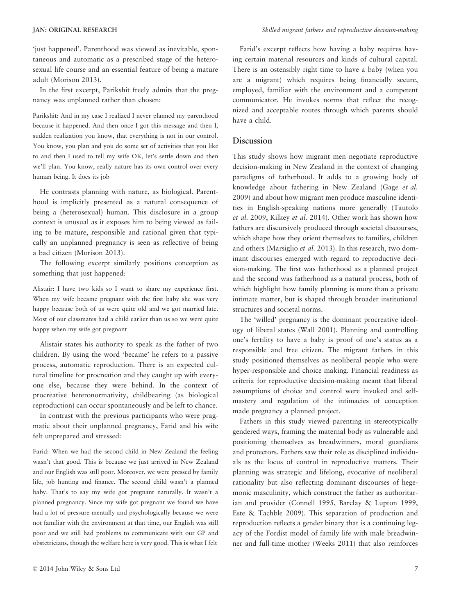'just happened'. Parenthood was viewed as inevitable, spontaneous and automatic as a prescribed stage of the heterosexual life course and an essential feature of being a mature adult (Morison 2013).

In the first excerpt, Parikshit freely admits that the pregnancy was unplanned rather than chosen:

Parikshit: And in my case I realized I never planned my parenthood because it happened. And then once I got this message and then I, sudden realization you know, that everything is not in our control. You know, you plan and you do some set of activities that you like to and then I used to tell my wife OK, let's settle down and then we'll plan. You know, really nature has its own control over every human being. It does its job

He contrasts planning with nature, as biological. Parenthood is implicitly presented as a natural consequence of being a (heterosexual) human. This disclosure in a group context is unusual as it exposes him to being viewed as failing to be mature, responsible and rational given that typically an unplanned pregnancy is seen as reflective of being a bad citizen (Morison 2013).

The following excerpt similarly positions conception as something that just happened:

Alistair: I have two kids so I want to share my experience first. When my wife became pregnant with the first baby she was very happy because both of us were quite old and we got married late. Most of our classmates had a child earlier than us so we were quite happy when my wife got pregnant

Alistair states his authority to speak as the father of two children. By using the word 'became' he refers to a passive process, automatic reproduction. There is an expected cultural timeline for procreation and they caught up with everyone else, because they were behind. In the context of procreative heteronormativity, childbearing (as biological reproduction) can occur spontaneously and be left to chance.

In contrast with the previous participants who were pragmatic about their unplanned pregnancy, Farid and his wife felt unprepared and stressed:

Farid: When we had the second child in New Zealand the feeling wasn't that good. This is because we just arrived in New Zealand and our English was still poor. Moreover, we were pressed by family life, job hunting and finance. The second child wasn't a planned baby. That's to say my wife got pregnant naturally. It wasn't a planned pregnancy. Since my wife got pregnant we found we have had a lot of pressure mentally and psychologically because we were not familiar with the environment at that time, our English was still poor and we still had problems to communicate with our GP and obstetricians, though the welfare here is very good. This is what I felt

Farid's excerpt reflects how having a baby requires having certain material resources and kinds of cultural capital. There is an ostensibly right time to have a baby (when you are a migrant) which requires being financially secure, employed, familiar with the environment and a competent communicator. He invokes norms that reflect the recognized and acceptable routes through which parents should have a child.

#### Discussion

This study shows how migrant men negotiate reproductive decision-making in New Zealand in the context of changing paradigms of fatherhood. It adds to a growing body of knowledge about fathering in New Zealand (Gage et al. 2009) and about how migrant men produce masculine identities in English-speaking nations more generally (Tautolo et al. 2009, Kilkey et al. 2014). Other work has shown how fathers are discursively produced through societal discourses, which shape how they orient themselves to families, children and others (Marsiglio et al. 2013). In this research, two dominant discourses emerged with regard to reproductive decision-making. The first was fatherhood as a planned project and the second was fatherhood as a natural process, both of which highlight how family planning is more than a private intimate matter, but is shaped through broader institutional structures and societal norms.

The 'willed' pregnancy is the dominant procreative ideology of liberal states (Wall 2001). Planning and controlling one's fertility to have a baby is proof of one's status as a responsible and free citizen. The migrant fathers in this study positioned themselves as neoliberal people who were hyper-responsible and choice making. Financial readiness as criteria for reproductive decision-making meant that liberal assumptions of choice and control were invoked and selfmastery and regulation of the intimacies of conception made pregnancy a planned project.

Fathers in this study viewed parenting in stereotypically gendered ways, framing the maternal body as vulnerable and positioning themselves as breadwinners, moral guardians and protectors. Fathers saw their role as disciplined individuals as the locus of control in reproductive matters. Their planning was strategic and lifelong, evocative of neoliberal rationality but also reflecting dominant discourses of hegemonic masculinity, which construct the father as authoritarian and provider (Connell 1995, Barclay & Lupton 1999, Este & Tachble 2009). This separation of production and reproduction reflects a gender binary that is a continuing legacy of the Fordist model of family life with male breadwinner and full-time mother (Weeks 2011) that also reinforces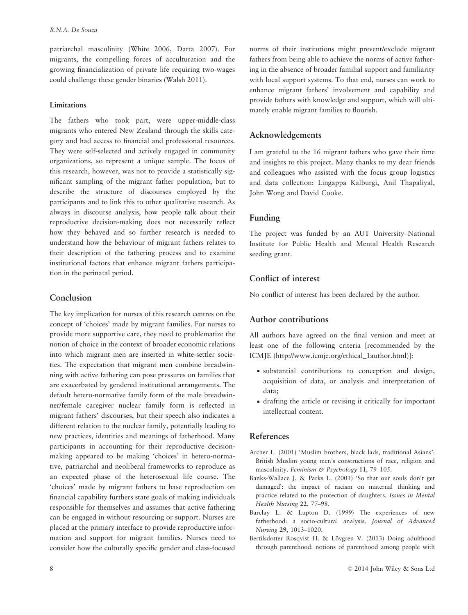patriarchal masculinity (White 2006, Datta 2007). For migrants, the compelling forces of acculturation and the growing financialization of private life requiring two-wages could challenge these gender binaries (Walsh 2011).

#### Limitations

The fathers who took part, were upper-middle-class migrants who entered New Zealand through the skills category and had access to financial and professional resources. They were self-selected and actively engaged in community organizations, so represent a unique sample. The focus of this research, however, was not to provide a statistically significant sampling of the migrant father population, but to describe the structure of discourses employed by the participants and to link this to other qualitative research. As always in discourse analysis, how people talk about their reproductive decision-making does not necessarily reflect how they behaved and so further research is needed to understand how the behaviour of migrant fathers relates to their description of the fathering process and to examine institutional factors that enhance migrant fathers participation in the perinatal period.

# Conclusion

The key implication for nurses of this research centres on the concept of 'choices' made by migrant families. For nurses to provide more supportive care, they need to problematize the notion of choice in the context of broader economic relations into which migrant men are inserted in white-settler societies. The expectation that migrant men combine breadwinning with active fathering can pose pressures on families that are exacerbated by gendered institutional arrangements. The default hetero-normative family form of the male breadwinner/female caregiver nuclear family form is reflected in migrant fathers' discourses, but their speech also indicates a different relation to the nuclear family, potentially leading to new practices, identities and meanings of fatherhood. Many participants in accounting for their reproductive decisionmaking appeared to be making 'choices' in hetero-normative, patriarchal and neoliberal frameworks to reproduce as an expected phase of the heterosexual life course. The 'choices' made by migrant fathers to base reproduction on financial capability furthers state goals of making individuals responsible for themselves and assumes that active fathering can be engaged in without resourcing or support. Nurses are placed at the primary interface to provide reproductive information and support for migrant families. Nurses need to consider how the culturally specific gender and class-focused norms of their institutions might prevent/exclude migrant fathers from being able to achieve the norms of active fathering in the absence of broader familial support and familiarity with local support systems. To that end, nurses can work to enhance migrant fathers' involvement and capability and provide fathers with knowledge and support, which will ultimately enable migrant families to flourish.

## Acknowledgements

I am grateful to the 16 migrant fathers who gave their time and insights to this project. Many thanks to my dear friends and colleagues who assisted with the focus group logistics and data collection: Lingappa Kalburgi, Anil Thapaliyal, John Wong and David Cooke.

# Funding

The project was funded by an AUT University–National Institute for Public Health and Mental Health Research seeding grant.

# Conflict of interest

No conflict of interest has been declared by the author.

# Author contributions

All authors have agreed on the final version and meet at least one of the following criteria [recommended by the ICMJE (http://www.icmje.org/ethical\_1author.html)]:

- substantial contributions to conception and design, acquisition of data, or analysis and interpretation of data;
- drafting the article or revising it critically for important intellectual content.

### References

- Archer L. (2001) 'Muslim brothers, black lads, traditional Asians': British Muslim young men's constructions of race, religion and masculinity. Feminism & Psychology 11, 79-105.
- Banks-Wallace J. & Parks L. (2001) 'So that our souls don't get damaged': the impact of racism on maternal thinking and practice related to the protection of daughters. Issues in Mental Health Nursing 22, 77–98.
- Barclay L. & Lupton D. (1999) The experiences of new fatherhood: a socio-cultural analysis. Journal of Advanced Nursing 29, 1013–1020.
- Bertilsdotter Rosqvist H. & Lövgren V. (2013) Doing adulthood through parenthood: notions of parenthood among people with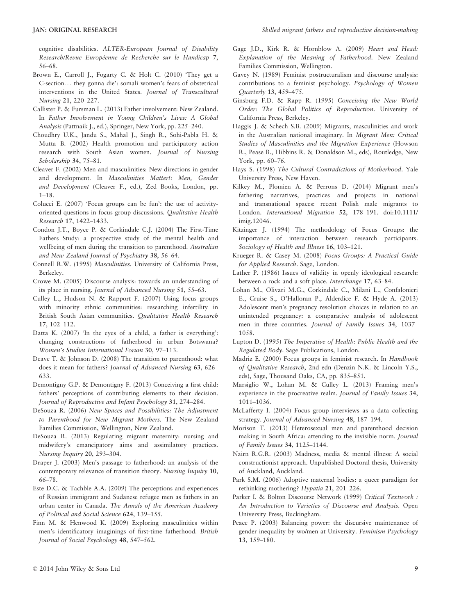cognitive disabilities. ALTER-European Journal of Disability Research/Revue Européenne de Recherche sur le Handicap 7, 56–68.

- Brown E., Carroll J., Fogarty C. & Holt C. (2010) 'They get a C-section... they gonna die': somali women's fears of obstetrical interventions in the United States. Journal of Transcultural Nursing 21, 220–227.
- Callister P. & Fursman L. (2013) Father involvement: New Zealand. In Father Involvement in Young Children's Lives: A Global Analysis (Pattnaik J., ed.), Springer, New York, pp. 225–240.
- Choudhry U.K., Jandu S., Mahal J., Singh R., Sohi-Pabla H. & Mutta B. (2002) Health promotion and participatory action research with South Asian women. Journal of Nursing Scholarship 34, 75–81.
- Cleaver F. (2002) Men and masculinities: New directions in gender and development. In Masculinities Matter!: Men, Gender and Development (Cleaver F., ed.), Zed Books, London, pp.  $1 - 18$
- Colucci E. (2007) 'Focus groups can be fun': the use of activityoriented questions in focus group discussions. Qualitative Health Research 17, 1422–1433.
- Condon J.T., Boyce P. & Corkindale C.J. (2004) The First-Time Fathers Study: a prospective study of the mental health and wellbeing of men during the transition to parenthood. Australian and New Zealand Journal of Psychiatry 38, 56–64.
- Connell R.W. (1995) Masculinities. University of California Press, Berkeley.
- Crowe M. (2005) Discourse analysis: towards an understanding of its place in nursing. Journal of Advanced Nursing 51, 55–63.
- Culley L., Hudson N. & Rapport F. (2007) Using focus groups with minority ethnic communities: researching infertility in British South Asian communities. Qualitative Health Research 17, 102–112.
- Datta K. (2007) 'In the eyes of a child, a father is everything': changing constructions of fatherhood in urban Botswana? Women's Studies International Forum 30, 97–113.
- Deave T. & Johnson D. (2008) The transition to parenthood: what does it mean for fathers? Journal of Advanced Nursing 63, 626– 633.
- Demontigny G.P. & Demontigny F. (2013) Conceiving a first child: fathers' perceptions of contributing elements to their decision. Journal of Reproductive and Infant Psychology 31, 274–284.
- DeSouza R. (2006) New Spaces and Possibilities: The Adjustment to Parenthood for New Migrant Mothers. The New Zealand Families Commission, Wellington, New Zealand.
- DeSouza R. (2013) Regulating migrant maternity: nursing and midwifery's emancipatory aims and assimilatory practices. Nursing Inquiry 20, 293–304.
- Draper J. (2003) Men's passage to fatherhood: an analysis of the contemporary relevance of transition theory. Nursing Inquiry 10, 66–78.
- Este D.C. & Tachble A.A. (2009) The perceptions and experiences of Russian immigrant and Sudanese refugee men as fathers in an urban center in Canada. The Annals of the American Academy of Political and Social Science 624, 139–155.
- Finn M. & Henwood K. (2009) Exploring masculinities within men's identificatory imaginings of first-time fatherhood. British Journal of Social Psychology 48, 547–562.
- Gage J.D., Kirk R. & Hornblow A. (2009) Heart and Head: Explanation of the Meaning of Fatherhood. New Zealand Families Commission, Wellington.
- Gavey N. (1989) Feminist postructuralism and discourse analysis: contributions to a feminist psychology. Psychology of Women Quarterly 13, 459–475.
- Ginsburg F.D. & Rapp R. (1995) Conceiving the New World Order: The Global Politics of Reproduction. University of California Press, Berkeley.
- Haggis J. & Schech S.B. (2009) Migrants, masculinities and work in the Australian national imaginary. In Migrant Men: Critical Studies of Masculinities and the Migration Experience (Howson R., Pease B., Hibbins R. & Donaldson M., eds), Routledge, New York, pp. 60–76.
- Hays S. (1998) The Cultural Contradictions of Motherhood. Yale University Press, New Haven.
- Kilkey M., Plomien A. & Perrons D. (2014) Migrant men's fathering narratives, practices and projects in national and transnational spaces: recent Polish male migrants to London. International Migration 52, 178–191. doi:10.1111/ imig.12046.
- Kitzinger J. (1994) The methodology of Focus Groups: the importance of interaction between research participants. Sociology of Health and Illness 16, 103–121.
- Krueger R. & Casey M. (2008) Focus Groups: A Practical Guide for Applied Research. Sage, London.
- Lather P. (1986) Issues of validity in openly ideological research: between a rock and a soft place. Interchange 17, 63–84.
- Lohan M., Olivari M.G., Corkindale C., Milani L., Confalonieri E., Cruise S., O'Halloran P., Alderdice F. & Hyde A. (2013) Adolescent men's pregnancy resolution choices in relation to an unintended pregnancy: a comparative analysis of adolescent men in three countries. Journal of Family Issues 34, 1037– 1058.
- Lupton D. (1995) The Imperative of Health: Public Health and the Regulated Body. Sage Publications, London.
- Madriz E. (2000) Focus groups in feminist research. In Handbook of Qualitative Research, 2nd edn (Denzin N.K. & Lincoln Y.S., eds), Sage, Thousand Oaks, CA, pp. 835–851.
- Marsiglio W., Lohan M. & Culley L. (2013) Framing men's experience in the procreative realm. Journal of Family Issues 34, 1011–1036.
- McLafferty I. (2004) Focus group interviews as a data collecting strategy. Journal of Advanced Nursing 48, 187–194.
- Morison T. (2013) Heterosexual men and parenthood decision making in South Africa: attending to the invisible norm. Journal of Family Issues 34, 1125–1144.
- Nairn R.G.R. (2003) Madness, media & mental illness: A social constructionist approach. Unpublished Doctoral thesis, University of Auckland, Auckland.
- Park S.M. (2006) Adoptive maternal bodies: a queer paradigm for rethinking mothering? Hypatia 21, 201–226.
- Parker I. & Bolton Discourse Network (1999) Critical Textwork : An Introduction to Varieties of Discourse and Analysis. Open University Press, Buckingham.
- Peace P. (2003) Balancing power: the discursive maintenance of gender inequality by wo/men at University. Feminism Psychology 13, 159–180.